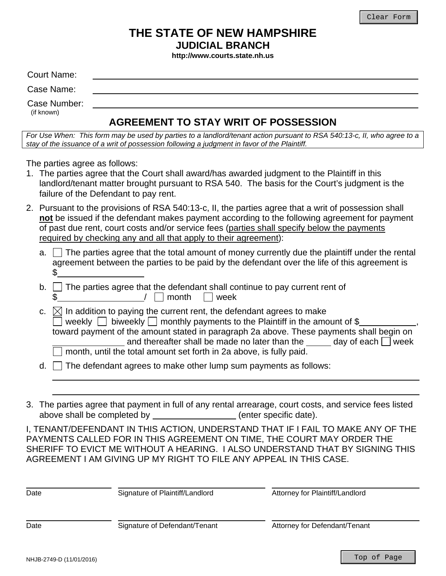## **THE STATE OF NEW HAMPSHIRE JUDICIAL BRANCH**

**http://www.courts.state.nh.us** 

| Court Name:  |                                             |
|--------------|---------------------------------------------|
| Case Name:   |                                             |
| Case Number: |                                             |
| (if known)   | <b>AGREEMENT TO STAY WRIT OF POSSESSION</b> |

*For Use When: This form may be used by parties to a landlord/tenant action pursuant to RSA 540:13-c, II, who agree to a stay of the issuance of a writ of possession following a judgment in favor of the Plaintiff.* 

The parties agree as follows:

- 1. The parties agree that the Court shall award/has awarded judgment to the Plaintiff in this landlord/tenant matter brought pursuant to RSA 540. The basis for the Court's judgment is the failure of the Defendant to pay rent.
- 2. Pursuant to the provisions of RSA 540:13-c, II, the parties agree that a writ of possession shall **not** be issued if the defendant makes payment according to the following agreement for payment of past due rent, court costs and/or service fees (parties shall specify below the payments required by checking any and all that apply to their agreement):
	- a.  $\Box$  The parties agree that the total amount of money currently due the plaintiff under the rental agreement between the parties to be paid by the defendant over the life of this agreement is \$
	- $b.$   $\vdots$ \$  $\Box$  The parties agree that the defendant shall continue to pay current rent of  $\Box$  month  $\Box$  week
	- $\overline{a}$ c.  $\boxtimes$  In addition to paying the current rent, the defendant agrees to make weekly  $\Box$  biweekly  $\Box$  monthly payments to the Plaintiff in the amount of \$ toward payment of the amount stated in paragraph 2a above. These payments shall begin on and thereafter shall be made no later than the day of each  $\Box$  week month, until the total amount set forth in 2a above, is fully paid. ,
	- $d.$  The defendant agrees to make other lump sum payments as follows:
- 3. The parties agree that payment in full of any rental arrearage, court costs, and service fees listed above shall be completed by \_\_\_\_\_\_\_\_\_\_\_\_\_\_\_\_\_(enter specific date).

I, TENANT/DEFENDANT IN THIS ACTION, UNDERSTAND THAT IF I FAIL TO MAKE ANY OF THE PAYMENTS CALLED FOR IN THIS AGREEMENT ON TIME, THE COURT MAY ORDER THE SHERIFF TO EVICT ME WITHOUT A HEARING. I ALSO UNDERSTAND THAT BY SIGNING THIS AGREEMENT I AM GIVING UP MY RIGHT TO FILE ANY APPEAL IN THIS CASE.

| Date | Signature of Plaintiff/Landlord | Attorney for Plaintiff/Landlord |
|------|---------------------------------|---------------------------------|
| Date | Signature of Defendant/Tenant   | Attorney for Defendant/Tenant   |